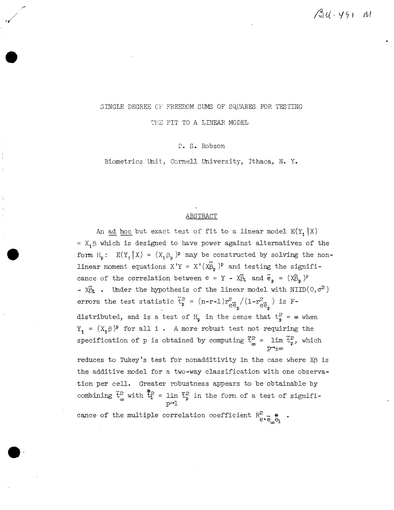$34.491$   $N$ 

## SINGLE DEGREE OF FREEDOM SUMS OF SQUARES FOR TESTING

'l'E:t: FIT TO A LINEAR MODEL

 $D. S.$  Robson

Biometrics Unit, Cornell University, Ithaca, N. Y.

# ABSTRACT

An ad hoc but exact test of fit to a linear model  $E(Y, |X)$ =  $X_t$   $\beta$  which is designed to have power against alternatives of the form  $H_p: E(Y, |X) = (X, \beta_p)^p$  may be constructed by solving the nonlinear moment equations  $X'Y = X'(X\tilde{\beta}_p)^p$  and testing the significance of the correlation between  $e = Y - X\tilde{\beta}_1$  and  $\tilde{e}_p = (X\tilde{\beta}_p)^p$ -  $X\tilde{\beta}_1$  . Under the hypothesis of the linear model with NIID(0, $\sigma^2$ ) errors the test statistic  $\tilde{t}^2_{\bf p} = (n-r-1)r_{e\tilde{e}_p}^2/(1-r_{e\tilde{e}_p}^2)$  is Fdistributed, and is a test of  $H_p$  in the sense that  $t_p^2 = \infty$  when  $Y_i = (X_i \beta)^p$  for all i. A more robust test not requiring the specification of p is obtained by computing  $\tilde{t}_{\infty}^2$  = lim  $\tilde{t}_{\rm p}^2$ , which  $F$ " $\pm$ 

reduces to Tukey's test for nonadditivity in the case where  $X\beta$  is the additive model for a two-way classification with one observation per cell. Greater robustness appears to be obtainable by combining  $\tilde{t}_{\infty}^2$  with  $\tilde{t}_{\infty}^2$  = lim  $\tilde{t}_{\infty}^2$  in the form of a test of signifip-1 cance of the multiple correlation coefficient  $R^2_{\substack{e \bullet e \ \infty}}$ 

e·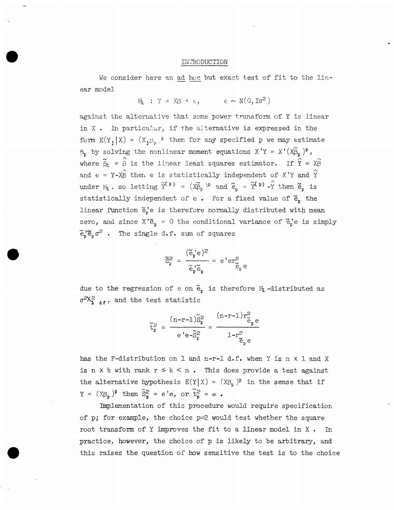### INTRODUCTION

We consider here an ad hoc but exact test of fit to the linear model

$$
H_1 : Y = X\beta + c, \qquad \epsilon \sim N(0, 10^2)
$$

against the alternative that some power transform of Y is linear in X. In particular, if the alternative is expressed in the form  $E(Y, |X) = (X, \beta_p)^p$  then for any specified p we may estimate  $\beta_{\mathfrak{p}}$  by solving the nonlinear moment equations  $X'Y = X'(X\tilde{\beta}_{\mathfrak{p}})^{\mathfrak{p}}$ , where  $\tilde{\beta}_1 = \hat{\beta}$  is the linear least squares estimator. If  $\hat{Y} = X\hat{\beta}$ and e = Y-X $\hat{\beta}$  then e is statistically independent of X'Y and  $\hat{Y}$ under  $H_1$ , so letting  $\widetilde{Y}^{(p)} = (X \widetilde{B}_p)^p$  and  $\widetilde{e}_p = \widetilde{Y}^{(p)} - \widehat{Y}$  then  $\widetilde{e}_p$  is statistically independent of  $e$ . For a fixed value of  $\tilde{e}_p$  the linear function  $\tilde{e}_p^{\dagger}e$  is therefore normally distributed with mean zero, and since  $X' \tilde{e}_p = 0$  the conditional variance of  $\tilde{e}_p'$ e is simply  $\tilde{e}_p^{\prime\prime}\tilde{e}_p^{\prime\prime}$  . The single d.f. sum of squares

$$
\widetilde{S}_{\mathbf{p}}^{2} = \frac{(\widetilde{e}_{\mathbf{p}}^{*}e)^{2}}{\widetilde{e}_{\mathbf{p}}^{*}\widetilde{e}_{\mathbf{p}}} = e^{*}er^{2}_{\widetilde{e}_{\mathbf{p}}}e
$$

due to the regression of e on  $\tilde{e}_n$  is therefore H<sub>1</sub>-distributed as  $\sigma^2 X_{1-d,f}^2$ , and the test statistic

$$
\tilde{t}_{\tilde{p}}^{2} = \frac{(n-r-1)\tilde{S}_{\tilde{p}}^{2}}{e^{t}e^{-\tilde{S}_{\tilde{p}}^{2}}} = \frac{(n-r-1)r_{\tilde{e}_{\tilde{p}}e}^{2}}{1-r_{\tilde{e}_{\tilde{n}}e}^{2}}
$$

has the F-distribution on 1 and n-r-1 d.f. when Y is  $n \times 1$  and X is  $n \times k$  with rank  $r \leq k \leq n$ . This does provide a test against the alternative hypothesis  $E(Y|X) = (X\beta_E)^p$  in the sense that if  $Y = (X\beta_n)^p$  then  $\tilde{S}_n^2 = e'e$ , or  $\tilde{t}_n^2 = \infty$ .

Implementation of this procedure would require specification of p; for example, the choice  $p=2$  would test whether the square root transform of Y improves the fit to a linear model in X. In practice, however, the choice of p is likely to be arbitrary, and this raises the question of how sensitive the test is to the choice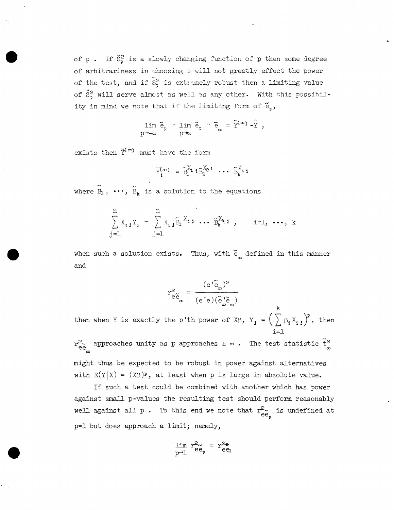of  $p$ . If  $\tilde{S}_p^2$  is a slowly changing function of  $p$  then some degree of arbitrariness in choosing p will not greatly effect the power of the test, and if  $\tilde{S}^2_{\tilde{p}}$  is extremely robust then a limiting value ,<br>st as well as any other. With this possibility in mind we note that if the limiting form of  $\tilde{e}_p$ ,

$$
\lim_{p \to \infty} \tilde{e}_p = \lim_{p \to \infty} \tilde{e}_p = \tilde{e}_\infty = \tilde{Y}^{(\infty)} - \tilde{Y},
$$

exists then  $\tilde{Y}^{(\infty)}$  must have the form

$$
\widetilde{\textbf{Y}}_1^{(\varpi)} \ = \ \widetilde{\textbf{B}}_1^{X_1} \; \textbf{1} \, \widetilde{\textbf{B}}_2^{X_2 \; \textbf{1}} \quad \cdots \quad \widetilde{\textbf{B}}_k^{X_k} \; \textbf{1}
$$

where  $\tilde{B}_1$ ,  $\cdots$ ,  $\tilde{B}_k$  is a solution to the equations

$$
\sum_{j=1}^{n} X_{1,j} Y_{j} = \sum_{j=1}^{n} X_{1,j} \tilde{B}_{1} X_{1,j} \dots \tilde{B}_{k} X_{k,j} , \quad i=1, \dots, k
$$

when such a solution exists. Thus, with  $\tilde{e}_{m}$  defined in this manner and

$$
r_{e\tilde{e}_{\infty}}^{2} = \frac{(e^{i}\tilde{e}_{\infty})^{2}}{(e^{i}e)(\tilde{e}_{\infty}^{i}\tilde{e}_{\infty})}
$$

then when Y is exactly the p'th power of  $X\beta$ , Y<sub>3</sub>  $\Big(\sum^k \beta_i X_{i,j}\Big)^p$ , then  $i = 1$ 

 $\frac{1}{\alpha}$  approaches unity as p approaches  $\pm$   $\infty$  . The test statistic  $\tilde{\mathfrak{t}}^2$  $e^{\infty}_{\infty}$  approaches untoy as p approaches  $\pm \infty$ . The cest statistic  $\frac{1}{\infty}$ 

might thus be expected to be robust in power against alternatives with  $E(Y|X) = (X\beta)^p$ , at least when p is large in absolute value.

If such a test could be combined with another which has power against small p-values the resulting test should perform reasonably well against all p. To this end we note that  $r_{ee_p}^2$  is undefined at  $p=1$  but does approach a limit; namely,

$$
\lim_{p \to 1} r_{ee_p}^2 = r_{ee_1}^{2*}
$$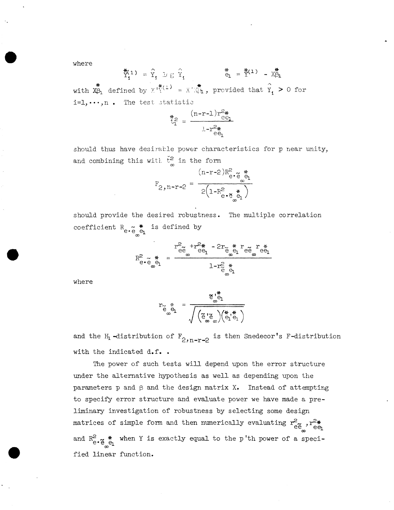where

$$
\tilde{Y}_{1}^{(1)} = \hat{Y}_{1} \cup \in \hat{Y}_{1} \qquad \qquad \tilde{e}_{1} = \tilde{Y}^{(1)} - X_{1}^{*} \qquad \qquad \tilde{e}_{2} = \tilde{Y}^{(1)} - X_{2}^{*} \qquad \qquad \tilde{e}_{3} = \tilde{Y}^{(2)} - X_{3}^{*} \qquad \qquad \tilde{e}_{4} = \tilde{Y}^{(3)} - X_{4}^{*} \qquad \qquad \tilde{e}_{5} = \tilde{Y}^{(4)} - X_{5}^{*} \qquad \qquad \tilde{e}_{6} = \tilde{Y}^{(5)} - X_{6}^{*} \qquad \qquad \tilde{e}_{7} = \tilde{Y}^{(6)} - X_{7}^{*} \qquad \qquad \tilde{e}_{8} = \tilde{Y}^{(7)} - X_{8}^{*} \qquad \qquad \tilde{e}_{9} = \tilde{Y}^{(8)} - X_{9}^{*} \qquad \qquad \tilde{e}_{1} = \tilde{Y}^{(9)} - X_{1}^{*} \qquad \qquad \tilde{e}_{1} = \tilde{Y}^{(1)} - X_{1}^{*} \qquad \qquad \tilde{e}_{1} = \tilde{Y}^{(1)} - X_{1}^{*} \qquad \qquad \tilde{e}_{1} = \tilde{Y}^{(1)} - X_{2}^{*} \qquad \qquad \tilde{e}_{1} = \tilde{Y}^{(1)} - X_{3}^{*} \qquad \qquad \tilde{e}_{1} = \tilde{Y}^{(1)} - X_{4}^{*} \qquad \qquad \tilde{e}_{1} = \tilde{Y}^{(1)} - X_{5}^{*} \qquad \qquad \tilde{e}_{1} = \tilde{Y}^{(1)} - X_{6}^{*} \qquad \qquad \tilde{e}_{1} = \tilde{Y}^{(1)} - X_{7}^{*} \qquad \qquad \tilde{e}_{1} = \tilde{Y}^{(1)} - X_{8}^{*} \qquad \qquad \tilde{e}_{1} = \tilde{Y}^{(1)} - X_{9}^{*} \qquad \qquad \tilde{e}_{1} = \tilde{Y}^{(1)} - X_{1}^{*} \qquad \qquad \tilde{e}_{1} = \tilde{Y}^{(1)} - X_{1}^{*} \qquad
$$

with  $X_{\mathcal{P}_1}^*$  defined by  $X^{i_{\mathcal{P}_1}^*}$  =  $X^{i_{\mathcal{P}_1}^*}$ , provided that  $Y_i > 0$  for  $i=1,\cdots,n$ . The test statistic

$$
t_1^* = \frac{(n-r-1)r_{eq}^2}{1-r_{eq}^2}
$$

should thus have desiratle power characteristics for p near unity, and combining this with  $\check{t}_{\infty}^2$  in the form

$$
F_{2,n-r-2} = \frac{(n-r-2)R_{e \bullet \tilde{e}_{\infty}^*}^2}{2(1-R_{e \bullet \tilde{e}_{\infty}^*}^*)}
$$

should provide the desired robustness. The multiple correlation coefficient  $R_{e \cdot \tilde{e}_{\infty}^{\text{}}e_1}$  is defined by

$$
R_{e \bullet e}^{2} \underset{\Theta_{e}^{*}}{\ast} = \frac{r_{ee}^{2} + r_{ee}^{2} \ast - 2r_{\widetilde{e}} \underset{\infty}{\ast} r_{ee}^{2} \underset{\infty}{\ast} r_{ee}^{2} \underset{\infty}{\ast}}{1 - r_{\widetilde{e}}^{2} \underset{\infty}{\ast}}
$$

where

$$
r_{\widetilde{e}_{\infty}^* \widetilde{e}_1}^* = \frac{\widetilde{e}_{\infty}^{\cdot \frac{4}{\zeta_1}}}{\sqrt{\left(\widetilde{e}_{\infty}^{\cdot \frac{2}{\zeta_2}}\right)\left(\widetilde{e}_1^{\cdot \frac{4}{\zeta_1}}\right)}}
$$

and the  $H_1$ -distribution of  $F_{2,n-r-2}$  is then Snedecor's F-distribution with the indicated d.f..

The power of such tests will depend upon the error structure under the alternative hypothesis as well as depending upon the parameters p and  $\beta$  and the design matrix X. Instead of attempting to specify error structure and evaluate power we have made a preliminary investigation of robustness by selecting some design matrices of simple form and then numerically evaluating  $r_{e\tilde{e}_m}^2$ ,  $r_{e\tilde{e}_1}^{2*}$ and  $R_{e \bullet}^2 \tilde{e}_{\infty}^*$  when Y is exactly equal to the p'th power of a specified linear function.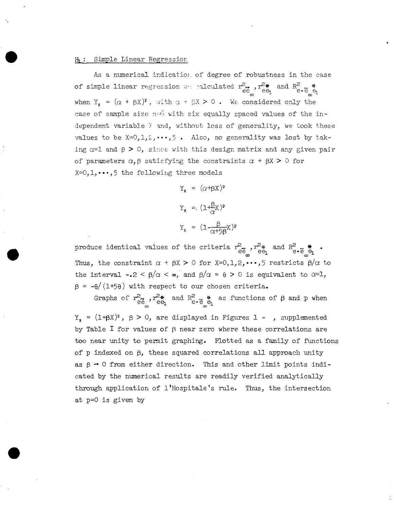### Simple Linear Regression  $H_1$  :

As a numerical indication of degree of robustness in the case of simple linear regression we calculated  $r_{ee}^2$ ,  $r_{ee}^2$  and  $R_{e \cdot \tilde{e}}^2$   $_{ee}^*$ when  $Y_x = (\alpha + \beta X)^p$ , with  $\alpha + \beta X > 0$ . We considered only the case of sample size n=6 with six equally spaced values of the independent variable  $Y$  and, without loss of generality, we took these values to be  $X=0,1,\dots,5$ . Also, no generality was lost by taking  $\alpha=1$  and  $\beta > 0$ , since with this design matrix and any given pair of parameters  $\alpha, \beta$  satisfying the constraints  $\alpha + \beta X > 0$  for  $X=0, 1, \cdots, 5$  the following three models

> $Y_r = (\alpha + \beta X)^p$  $Y_{x} = (1 + \frac{\beta}{\alpha}X)^{p}$  $Y_x = (1 - \frac{\beta}{\alpha + 5\beta}X)^p$

produce identical values of the criteria  $r_{ee}^2$ ,  $r_{ee}^2$  and  $R_{e \cdot \tilde{e}}^2$  . Thus, the constraint  $\alpha$  +  $\beta$ X > 0 for X=0,1,2,...,5 restricts  $\beta/\alpha$  to the interval  $-2 < \beta/\alpha < \infty$ , and  $\beta/\alpha = \theta > 0$  is equivalent to  $\alpha=1$ ,  $\beta$  = - $\theta$ /(1+5 $\theta$ ) with respect to our chosen criteria.

Graphs of  $r_{ee}^2$ ,  $r_{ee}^2$  and  $R_{e \cdot \tilde{e}}^2$  as functions of  $\beta$  and  $p$  when

 $Y_{x} = (1+\beta X)^{p}$ ,  $\beta > 0$ , are displayed in Figures 1 - , supplemented by Table I for values of  $\beta$  near zero where these correlations are too near unity to permit graphing. Plotted as a family of functions of  $p$  indexed on  $\beta$ , these squared correlations all approach unity as  $\beta \rightarrow 0$  from either direction. This and other limit points indicated by the numerical results are readily verified analytically through application of l'Hospitale's rule. Thus, the intersection at  $p=0$  is given by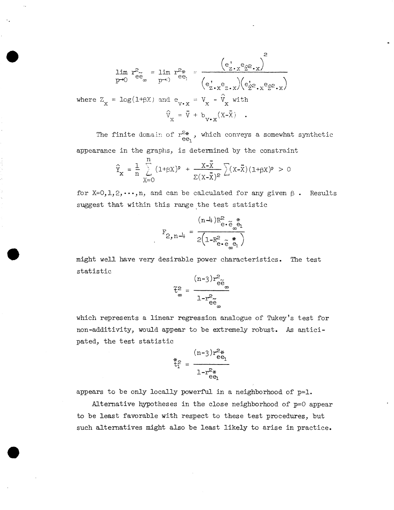$$
\lim_{\rho \to 0} r_{ee}^2 = \lim_{\rho \to 0} r_{ee}^2
$$
\n
$$
\lim_{\rho \to 0} \int_{\rho}^{2\pi} e_{\rho}^2 = \lim_{\rho \to 0} \left( e_{\rho}^2 \cdot x e_{\rho}^2 \cdot x \right)
$$
\n
$$
\lim_{\rho \to 0} \int_{\rho}^{2\pi} e_{\rho}^2 = \lim_{\rho \to 0} \left( e_{\rho}^2 \cdot x e_{\rho}^2 \cdot x \right)
$$
\n
$$
\lim_{\rho} \int_{\rho}^{2\pi} e_{\rho}^2 = \frac{1}{\rho} \cdot \frac{1}{\rho} \cdot \frac{1}{\rho} \cdot \frac{1}{\rho} \cdot \frac{1}{\rho} \cdot \frac{1}{\rho} \cdot \frac{1}{\rho} \cdot \frac{1}{\rho} \cdot \frac{1}{\rho} \cdot \frac{1}{\rho} \cdot \frac{1}{\rho} \cdot \frac{1}{\rho} \cdot \frac{1}{\rho} \cdot \frac{1}{\rho} \cdot \frac{1}{\rho} \cdot \frac{1}{\rho} \cdot \frac{1}{\rho} \cdot \frac{1}{\rho} \cdot \frac{1}{\rho} \cdot \frac{1}{\rho} \cdot \frac{1}{\rho} \cdot \frac{1}{\rho} \cdot \frac{1}{\rho} \cdot \frac{1}{\rho} \cdot \frac{1}{\rho} \cdot \frac{1}{\rho} \cdot \frac{1}{\rho} \cdot \frac{1}{\rho} \cdot \frac{1}{\rho} \cdot \frac{1}{\rho} \cdot \frac{1}{\rho} \cdot \frac{1}{\rho} \cdot \frac{1}{\rho} \cdot \frac{1}{\rho} \cdot \frac{1}{\rho} \cdot \frac{1}{\rho} \cdot \frac{1}{\rho} \cdot \frac{1}{\rho} \cdot \frac{1}{\rho} \cdot \frac{1}{\rho} \cdot \frac{1}{\rho} \cdot \frac{1}{\rho} \cdot \frac{1}{\rho} \cdot \frac{1}{\rho} \cdot \frac{1}{\rho} \cdot \frac{1}{\rho} \cdot \frac{1}{\rho} \cdot \frac{1}{\rho} \cdot \frac{1}{\rho} \cdot \frac{1}{\rho} \cdot \frac{1}{\rho} \cdot \frac{1}{\rho} \cdot \frac{1}{\rho} \cdot \frac{1}{\rho} \cdot \frac{1}{\rho
$$

The finite domain of  $r_{ee_1}^{2*}$ , which conveys a somewhat synthetic appearance in the graphs, is determined by the constraint

$$
\widehat{Y}_{\mathbf{x}} = \frac{1}{n} \sum_{X=0}^{n} (1+\beta X)^{\mathbf{p}} + \frac{X-\overline{X}}{\Sigma(X-\overline{X})^2} \sum_{X} (X-\overline{X}) (1+\beta X)^{\mathbf{p}} > 0
$$

for X=0,1,2,  $\cdots$ , n, and can be calculated for any given  $\beta$ . Results suggest that within this range the test statistic

$$
\mathbf{F}_{2,n-4} = \frac{(\mathbf{n} - 4)\mathbf{R}_{e \cdot \widetilde{e}_{\infty} \overset{*}{\mathbf{R}}}}{2(\mathbf{1} - \mathbf{R}_{e \cdot \widetilde{e}_{\infty} \overset{*}{\mathbf{R}}})}
$$

might well have very desirable power characteristics. The test statistic

$$
\tilde{t}_{\infty}^{2} = \frac{(n-3)r_{e\tilde{e}_{\infty}}^{2}}{1 - r_{e\tilde{e}_{\infty}}^{2}}
$$

which represents a linear regression analogue of Tukey's test for non-additivity, would appear to be extremely robust. As anticipated, the test statistic

$$
t_1^* = \frac{(n-3)r_{ee_1}^{2*}}{1-r_{ee_1}^{2*}}
$$

appears to be only locally powerful in a neighborhood of p=1.

Alternative hypotheses in the close neighborhood of p=0 appear to be least favorable with respect to these test procedures, but such alternatives might also be least likely to arise in practice.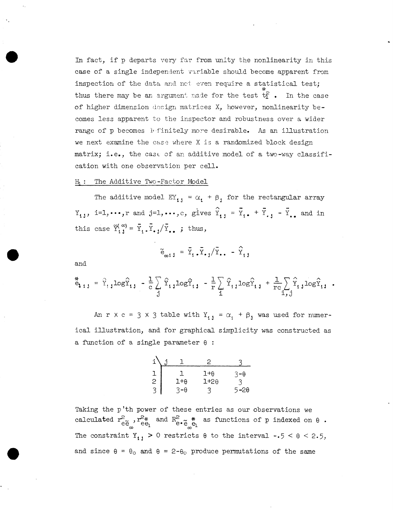In fact, if p departs very far from unity the nonlinearity in this case of a single independent variable should become apparent from inspection of the data and not even require a statistical test; thus there may be an argument made for the test  $\hat{t}_1^2$ . In the case of higher dimension design matrices X, however, nonlinearity becomes less apparent to the inspector and robustness over a wider range of p becomes lefinitely more desirable. As an illustration we next examine the case where X is a randomized block design matrix; i.e., the case of an additive model of a two-way classification with one observation per cell.

#### $H_1$  : The Additive Two-Factor Model

The additive model  $EY_{11} = \alpha_1 + \beta_1$  for the rectangular array  $Y_{1,j}$ , i=1,..., r and j=1,..., c, gives  $\hat{Y}_{1,j} = \bar{Y}_{1,j} + \bar{Y}_{1,j} - \bar{Y}_{1,j}$  and in this case  $\tilde{Y}_{1,j}^{(\infty)} = \bar{Y}_{1,j} \bar{Y}_{\bullet,j} / \bar{Y}_{\bullet,\bullet}$ ; thus,

$$
\tilde{e}_{\infty 1,1} = \bar{Y}_1 \cdot \bar{Y}_1 \cdot \left(\bar{Y}_1 \cdot - \hat{Y}_1\right)
$$

and

$$
\ddot{e}_{11j} = \hat{Y}_{1j} \log \hat{Y}_{1j} - \frac{1}{c} \sum_{j} \hat{Y}_{1j} \log \hat{Y}_{1j} - \frac{1}{r} \sum_{i} \hat{Y}_{1j} \log \hat{Y}_{1j} + \frac{1}{rc} \sum_{i,j} \hat{Y}_{1j} \log \hat{Y}_{1j}.
$$

An r x c = 3 x 3 table with  $Y_{1,1} = \alpha_1 + \beta_1$  was used for numerical illustration, and for graphical simplicity was constructed as a function of a single parameter  $\theta$  :

| i |     | 2        |         |
|---|-----|----------|---------|
|   |     | $1+0$    | २-ө     |
| 2 | 1+0 | $1 + 20$ |         |
|   | -Α  |          | 5<br>59 |

Taking the p'th power of these entries as our observations we calculated  $r_{e\tilde{e}_{\infty}}^2$ ,  $r_{ee_1}^{2*}$  and  $R_{e\cdot\tilde{e}_{\infty}^*}^2$  as functions of p indexed on  $\theta$ . The constraint  $Y_{1,1} > 0$  restricts  $\theta$  to the interval -.5 <  $\theta$  < 2.5, and since  $\theta = \theta_0$  and  $\theta = 2-\theta_0$  produce permutations of the same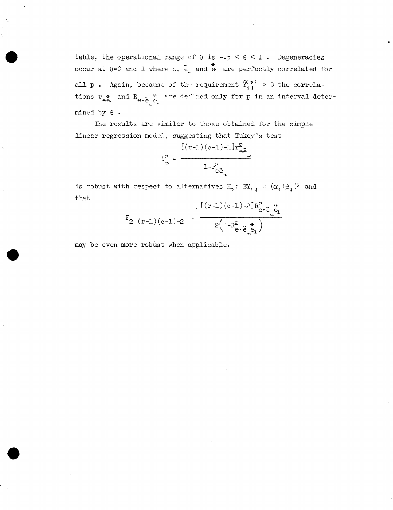table, the operational range of  $\theta$  is  $-5 < \theta < 1$ . Degeneracies occur at  $\theta$ =0 and 1 where  $\epsilon$ ,  $\tilde{e}_c$  and  $\tilde{e}_1$  are perfectly correlated for all p. Again, because of the requirement  $\tilde{Y}_i^{\ p}$  > 0 the correlations  $r_{ee}^*$  and  $R_{e \cdot \widetilde{e}_\infty^{e\epsilon_1}}$  are defined only for p in an interval determined by  $\theta$ .

The results are similar to those obtained for the simple linear regression model, suggesting that Tukey's test

$$
f_{\infty}^{2} = \frac{[(r-1)(c-1)-1]r_{e\tilde{e}}^{2}}{1-r_{e\tilde{e}}^{2}}
$$

is robust with respect to alternatives  $H_p: EY_{1,j} = (\alpha_i + \beta_j)^p$  and that

$$
F_{2} (r-1)(c-1)-2 = \frac{\left[ (r-1)(c-1) - 2 \right] R_{e \cdot \tilde{e}}^{2} R_{e \cdot \tilde{e}}^{*}}{2 \left( 1 - R_{e \cdot \tilde{e}}^{2} R_{e}^{*} \right)}
$$

may be even more robust when applicable.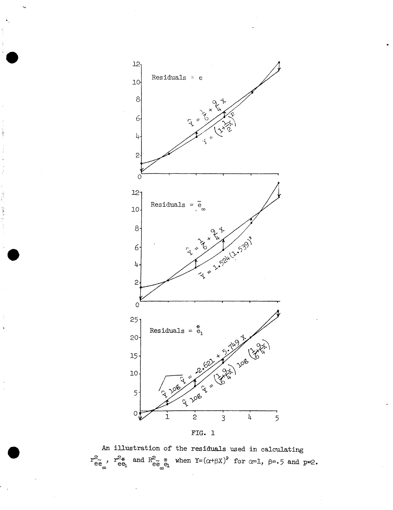

An illustration of the residuals used in calculating  $\mathbf{r}_{\mathbf{e}\mathbf{e}_{_{\infty}}}^{\mathbf{2}_{\sim}}$  ,  $\mathbf{r}_{\mathbf{e}\mathbf{e}_{_{}}^{\mathbf{2}_{\star}}}^{\mathbf{2}_{\star}}$ and  $R^2_{\widetilde{e}\widetilde{e}_{\infty}^{\mathfrak{S}}}$  when  $Y=(\alpha+\beta X)^p$  for  $\alpha=1$ ,  $\beta=-5$  and  $p=2$ .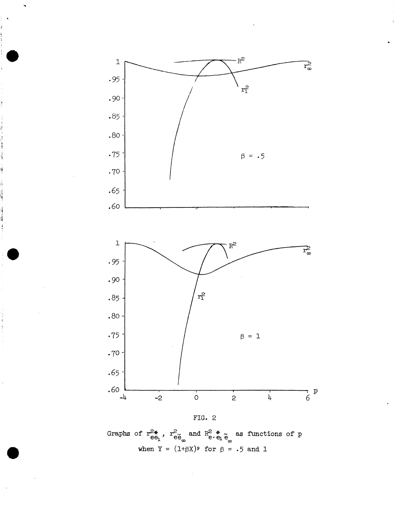

 $-202$  and  $-15$ 



Graphs of  $r_{ee_1}^{2*}$ ,  $r_{\tilde{ee}_\infty}^2$  and  $R_{e \cdot \tilde{e}_1}^{2*}$  as functions of p when  $Y = (1+\beta X)^p$  for  $\beta = .5$  and 1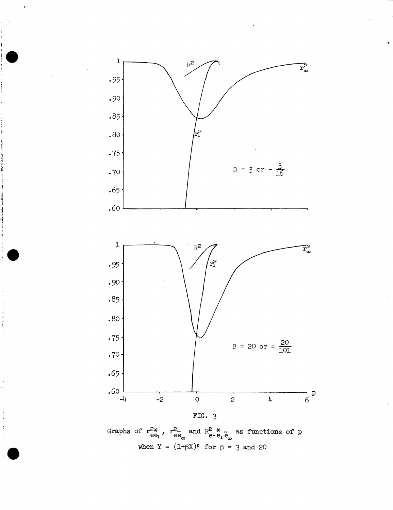

Graphs of  $r_{eq}^{2*}$ ,  $r_{e\tilde{e}_{\infty}}^{2}$  and  $R_{e \cdot e_1 \tilde{e}_{\infty}}^{2*}$  as functions of p when  $Y = (1+\beta X)^p$  for  $\beta = 3$  and 20

 $\frac{1}{2}$ 

 $\frac{1}{2}$